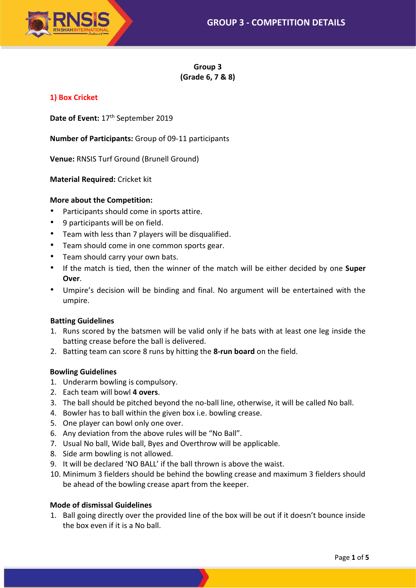

**Group 3 (Grade 6, 7 & 8)**

## **1) Box Cricket**

Date of Event: 17<sup>th</sup> September 2019

**Number of Participants:** Group of 09-11 participants

**Venue:** RNSIS Turf Ground (Brunell Ground)

**Material Required:** Cricket kit

#### **More about the Competition:**

- Participants should come in sports attire.
- 9 participants will be on field.
- Team with less than 7 players will be disqualified.
- Team should come in one common sports gear.
- Team should carry your own bats.
- If the match is tied, then the winner of the match will be either decided by one **Super Over**.
- Umpire's decision will be binding and final. No argument will be entertained with the umpire.

#### **Batting Guidelines**

- 1. Runs scored by the batsmen will be valid only if he bats with at least one leg inside the batting crease before the ball is delivered.
- 2. Batting team can score 8 runs by hitting the **8-run board** on the field.

#### **Bowling Guidelines**

- 1. Underarm bowling is compulsory.
- 2. Each team will bowl **4 overs**.
- 3. The ball should be pitched beyond the no-ball line, otherwise, it will be called No ball.
- 4. Bowler has to ball within the given box i.e. bowling crease.
- 5. One player can bowl only one over.
- 6. Any deviation from the above rules will be "No Ball".
- 7. Usual No ball, Wide ball, Byes and Overthrow will be applicable.
- 8. Side arm bowling is not allowed.
- 9. It will be declared 'NO BALL' if the ball thrown is above the waist.
- 10. Minimum 3 fielders should be behind the bowling crease and maximum 3 fielders should be ahead of the bowling crease apart from the keeper.

#### **Mode of dismissal Guidelines**

1. Ball going directly over the provided line of the box will be out if it doesn't bounce inside the box even if it is a No ball.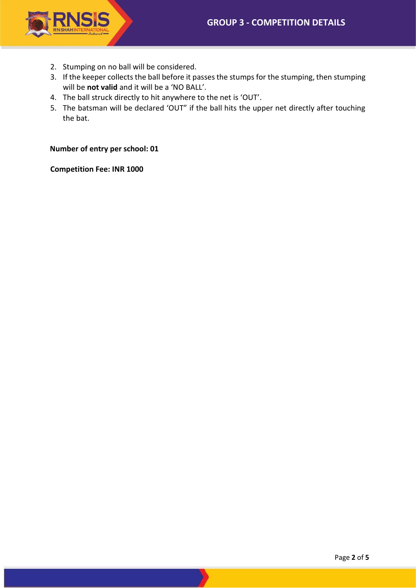

- 2. Stumping on no ball will be considered.
- 3. If the keeper collects the ball before it passes the stumps for the stumping, then stumping will be **not valid** and it will be a 'NO BALL'.
- 4. The ball struck directly to hit anywhere to the net is 'OUT'.
- 5. The batsman will be declared 'OUT" if the ball hits the upper net directly after touching the bat.

**Number of entry per school: 01**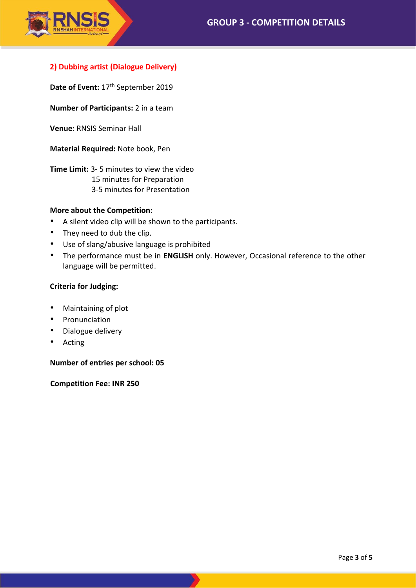

# **2) Dubbing artist (Dialogue Delivery)**

Date of Event: 17<sup>th</sup> September 2019

**Number of Participants:** 2 in a team

**Venue:** RNSIS Seminar Hall

**Material Required:** Note book, Pen

**Time Limit:** 3- 5 minutes to view the video 15 minutes for Preparation 3-5 minutes for Presentation

## **More about the Competition:**

- A silent video clip will be shown to the participants.
- They need to dub the clip.
- Use of slang/abusive language is prohibited
- The performance must be in **ENGLISH** only. However, Occasional reference to the other language will be permitted.

#### **Criteria for Judging:**

- Maintaining of plot
- Pronunciation
- Dialogue delivery
- Acting

**Number of entries per school: 05**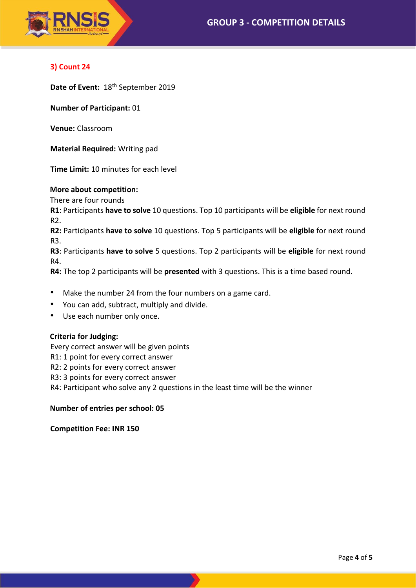

# **3) Count 24**

**Date of Event:** 18th September 2019

**Number of Participant:** 01

**Venue:** Classroom

**Material Required:** Writing pad

**Time Limit:** 10 minutes for each level

## **More about competition:**

There are four rounds

**R1**: Participants **have to solve** 10 questions. Top 10 participants will be **eligible** for next round R2.

**R2:** Participants **have to solve** 10 questions. Top 5 participants will be **eligible** for next round R3.

**R3**: Participants **have to solve** 5 questions. Top 2 participants will be **eligible** for next round R4.

**R4:** The top 2 participants will be **presented** with 3 questions. This is a time based round.

- Make the number 24 from the four numbers on a game card.
- You can add, subtract, multiply and divide.
- Use each number only once.

## **Criteria for Judging:**

Every correct answer will be given points

- R1: 1 point for every correct answer
- R2: 2 points for every correct answer
- R3: 3 points for every correct answer

R4: Participant who solve any 2 questions in the least time will be the winner

## **Number of entries per school: 05**